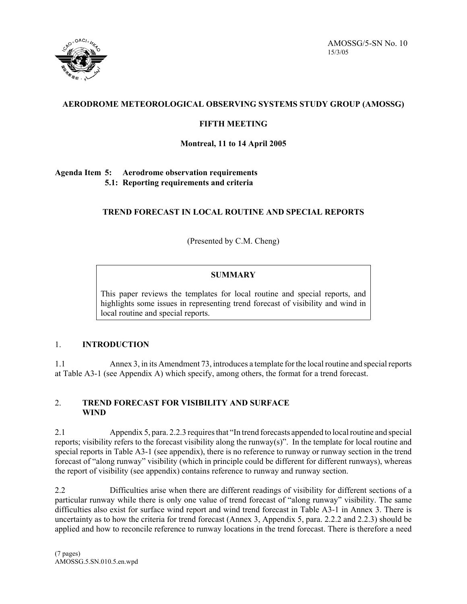

AMOSSG/5-SN No. 10 15/3/05

# **AERODROME METEOROLOGICAL OBSERVING SYSTEMS STUDY GROUP (AMOSSG)**

# **FIFTH MEETING**

## **Montreal, 11 to 14 April 2005**

### **Agenda Item 5: Aerodrome observation requirements 5.1: Reporting requirements and criteria**

# **TREND FORECAST IN LOCAL ROUTINE AND SPECIAL REPORTS**

(Presented by C.M. Cheng)

# **SUMMARY**

This paper reviews the templates for local routine and special reports, and highlights some issues in representing trend forecast of visibility and wind in local routine and special reports.

## 1. **INTRODUCTION**

1.1 Annex 3, in its Amendment 73, introduces a template for the local routine and special reports at Table A3-1 (see Appendix A) which specify, among others, the format for a trend forecast.

#### 2. **TREND FORECAST FOR VISIBILITY AND SURFACE WIND**

2.1 Appendix 5, para. 2.2.3 requires that "In trend forecasts appended to local routine and special reports; visibility refers to the forecast visibility along the runway(s)". In the template for local routine and special reports in Table A3-1 (see appendix), there is no reference to runway or runway section in the trend forecast of "along runway" visibility (which in principle could be different for different runways), whereas the report of visibility (see appendix) contains reference to runway and runway section.

2.2 Difficulties arise when there are different readings of visibility for different sections of a particular runway while there is only one value of trend forecast of "along runway" visibility. The same difficulties also exist for surface wind report and wind trend forecast in Table A3-1 in Annex 3. There is uncertainty as to how the criteria for trend forecast (Annex 3, Appendix 5, para. 2.2.2 and 2.2.3) should be applied and how to reconcile reference to runway locations in the trend forecast. There is therefore a need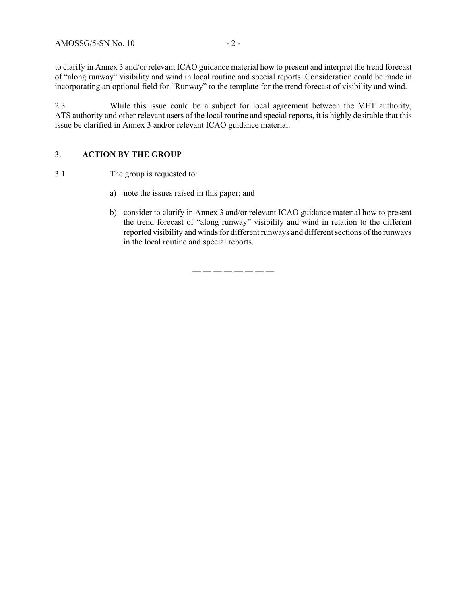to clarify in Annex 3 and/or relevant ICAO guidance material how to present and interpret the trend forecast of "along runway" visibility and wind in local routine and special reports. Consideration could be made in incorporating an optional field for "Runway" to the template for the trend forecast of visibility and wind.

2.3 While this issue could be a subject for local agreement between the MET authority, ATS authority and other relevant users of the local routine and special reports, it is highly desirable that this issue be clarified in Annex 3 and/or relevant ICAO guidance material.

#### 3. **ACTION BY THE GROUP**

3.1 The group is requested to:

- a) note the issues raised in this paper; and
- b) consider to clarify in Annex 3 and/or relevant ICAO guidance material how to present the trend forecast of "along runway" visibility and wind in relation to the different reported visibility and winds for different runways and different sections of the runways in the local routine and special reports.

— — — — — — — —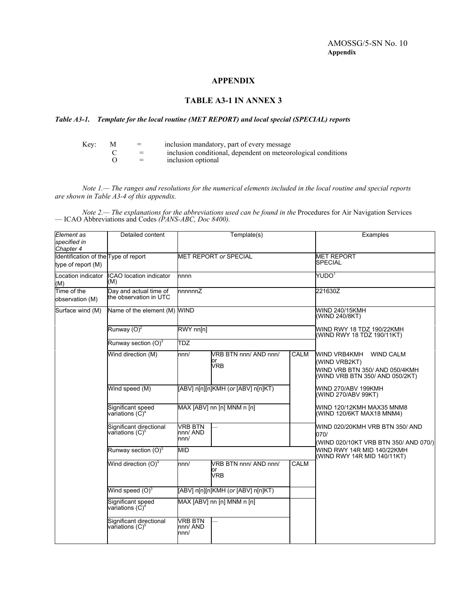#### **APPENDIX**

## **TABLE A3-1 IN ANNEX 3**

#### *Table A3-1. Template for the local routine (MET REPORT) and local special (SPECIAL) reports*

| Key: | $=$ | inclusion mandatory, part of every message                    |
|------|-----|---------------------------------------------------------------|
|      | $=$ | inclusion conditional, dependent on meteorological conditions |
|      | $=$ | inclusion optional                                            |

*Note 1.— The ranges and resolutions for the numerical elements included in the local routine and special reports are shown in Table A3-4 of this appendix.*

*Note 2.— The explanations for the abbreviations used can be found in the Procedures for Air Navigation Services* — ICAO Abbreviations and Codes *(PANS-ABC, Doc 8400).*

| Element as<br>specified in                                              | Detailed content                                        | Template(s)                        |                                          |                                                           | Examples                                                                                                                      |
|-------------------------------------------------------------------------|---------------------------------------------------------|------------------------------------|------------------------------------------|-----------------------------------------------------------|-------------------------------------------------------------------------------------------------------------------------------|
| Chapter 4<br>Identification of the Type of report<br>type of report (M) |                                                         |                                    | <b>MET REPORT or SPECIAL</b>             | <b>MET REPORT</b><br><b>SPECIAL</b>                       |                                                                                                                               |
| Location indicator<br>(M)                                               | <b>ICAO</b> location indicator<br>(M)                   | nnnn                               |                                          | YUDO <sup>1</sup>                                         |                                                                                                                               |
| Time of the<br>observation (M)                                          | Day and actual time of<br>the observation in UTC        | nnnnnZ                             |                                          | 221630Z                                                   |                                                                                                                               |
| Surface wind (M)                                                        | Name of the element (M) WIND                            |                                    |                                          | WIND 240/15KMH<br>(WIND 240/8KT)                          |                                                                                                                               |
|                                                                         | Runway $(O)^2$                                          | RWY nn[n]                          |                                          | WIND RWY 18 TDZ 190/22KMH<br>(WIND RWY 18 TDZ 190/11KT)   |                                                                                                                               |
|                                                                         | Runway section $(O)^3$                                  | <b>TDZ</b>                         |                                          |                                                           |                                                                                                                               |
|                                                                         | Wind direction (M)                                      | nnn/                               | VRB BTN nnn/AND nnn/<br>or<br><b>VRB</b> | <b>CALM</b>                                               | <b>WIND VRB4KMH</b><br><b>WIND CALM</b><br>(WIND VRB2KT)<br>WIND VRB BTN 350/ AND 050/4KMH<br>(WIND VRB BTN 350/ AND 050/2KT) |
|                                                                         | Wind speed (M)                                          | [ABV] n[n][n]KMH (or [ABV] n[n]KT) |                                          |                                                           | WIND 270/ABV 199KMH<br>(WIND 270/ABV 99KT)                                                                                    |
|                                                                         | Significant speed<br>variations $(\dot{C})^4$           | MAX [ABV] nn [n] MNM n [n]         |                                          |                                                           | WIND 120/12KMH MAX35 MNM8<br>(WIND 120/6KT MAX18 MNM4)                                                                        |
|                                                                         | Significant directional<br>var̃iations (C) <sup>5</sup> | <b>VRB BTN</b><br>nnn/ AND<br>nnn/ |                                          |                                                           | WIND 020/20KMH VRB BTN 350/ AND<br>070/<br>(WIND 020/10KT VRB BTN 350/ AND 070/)                                              |
|                                                                         | Runway section $(O)^3$                                  | <b>MID</b>                         |                                          | WIND RWY 14R MID 140/22KMH<br>(WIND RWY 14R MID 140/11KT) |                                                                                                                               |
|                                                                         | Wind direction $(O)^3$                                  | nnn/                               | VRB BTN nnn/AND nnn/<br>or<br><b>VRB</b> | <b>CALM</b>                                               |                                                                                                                               |
|                                                                         | Wind speed $(O)^3$                                      |                                    | [ABV] n[n][n]KMH (or [ABV] n[n]KT)       |                                                           |                                                                                                                               |
|                                                                         | Significant speed<br>var̃iations (C) <sup>4</sup>       |                                    | MAX [ABV] nn [n] MNM n [n]               |                                                           |                                                                                                                               |
|                                                                         | Significant directional<br>variations (C) <sup>5</sup>  | <b>VRB BTN</b><br>nnn/ AND<br>nnn/ |                                          |                                                           |                                                                                                                               |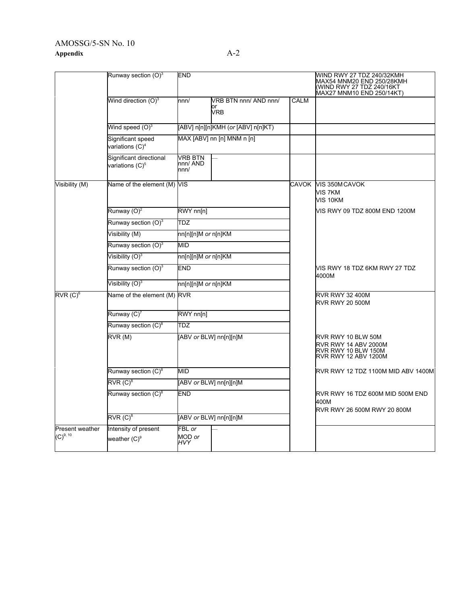# AMOSSG/5-SN No. 10 **Appendix** A-2

|                                           | Runway section $(O)^3$<br><b>END</b>          |                                    |                                           | WIND RWY 27 TDZ 240/32KMH<br>MAX54 MNM20 END 250/28KMH<br>(WIND RWY 27 TDZ 240/16KT<br>MAX27 MNM10 END 250/14KT) |                                                                                           |  |  |
|-------------------------------------------|-----------------------------------------------|------------------------------------|-------------------------------------------|------------------------------------------------------------------------------------------------------------------|-------------------------------------------------------------------------------------------|--|--|
|                                           | Wind direction $(O)^3$                        | nnn/                               | VRB BTN nnn/ AND nnn/<br>or<br><b>VRB</b> | CALM                                                                                                             |                                                                                           |  |  |
|                                           | Wind speed $(O)^3$                            |                                    | [ABV] n[n][n]KMH (or [ABV] n[n]KT)        |                                                                                                                  |                                                                                           |  |  |
|                                           | Significant speed<br>variations $(C)^4$       |                                    | MAX [ABV] nn [n] MNM n [n]                |                                                                                                                  |                                                                                           |  |  |
|                                           | Significant directional<br>variations $(C)^5$ | <b>VRB BTN</b><br>nnn/ AND<br>nnn/ |                                           |                                                                                                                  |                                                                                           |  |  |
| Visibility (M)                            | Name of the element (M) VIS                   |                                    |                                           | CAVOK                                                                                                            | VIS 350M CAVOK<br>VIS 7KM<br>VIS 10KM                                                     |  |  |
|                                           | Runway $(O)^2$                                | RWY nn[n]                          |                                           |                                                                                                                  | VIS RWY 09 TDZ 800M END 1200M                                                             |  |  |
|                                           | Runway section $(O)^3$                        | <b>TDZ</b>                         |                                           |                                                                                                                  |                                                                                           |  |  |
|                                           | Visibility (M)                                | nn[n][n]M or n[n]KM                |                                           |                                                                                                                  |                                                                                           |  |  |
|                                           | Runway section $(O)^3$                        | <b>MID</b>                         |                                           |                                                                                                                  |                                                                                           |  |  |
|                                           | Visibility $(O)^3$                            | nn[n][n]M or n[n]KM                |                                           |                                                                                                                  |                                                                                           |  |  |
|                                           | Runway section $(O)^3$                        | <b>END</b>                         |                                           |                                                                                                                  | VIS RWY 18 TDZ 6KM RWY 27 TDZ<br>4000M                                                    |  |  |
|                                           | Visibility $(O)^3$                            | nn[n][n]M or n[n]KM                |                                           |                                                                                                                  |                                                                                           |  |  |
| $\overline{\mathsf{RVR}\,(\mathsf{C})^6}$ | Name of the element (M) RVR                   |                                    |                                           |                                                                                                                  | <b>RVR RWY 32 400M</b><br><b>RVR RWY 20 500M</b>                                          |  |  |
|                                           | Runway $(C)^7$                                | RWY nn[n]                          |                                           |                                                                                                                  |                                                                                           |  |  |
|                                           | Runway section (C) <sup>8</sup>               | <b>TDZ</b>                         |                                           |                                                                                                                  |                                                                                           |  |  |
|                                           | RVR(M)                                        |                                    | [ABV or BLW] nn[n][n]M                    |                                                                                                                  | RVR RWY 10 BLW 50M<br>RVR RWY 14 ABV 2000M<br>RVR RWY 10 BLW 150M<br>RVR RWY 12 ABV 1200M |  |  |
|                                           | Runway section (C) <sup>8</sup>               | <b>MID</b>                         |                                           |                                                                                                                  | RVR RWY 12 TDZ 1100M MID ABV 1400M                                                        |  |  |
|                                           | $RVR(C)^8$                                    |                                    | [ABV or BLW] nn[n][n]M                    |                                                                                                                  |                                                                                           |  |  |
|                                           | Runway section (C) <sup>8</sup>               | <b>END</b>                         |                                           |                                                                                                                  | RVR RWY 16 TDZ 600M MID 500M END<br>400M<br>RVR RWY 26 500M RWY 20 800M                   |  |  |
|                                           | $RVR(C)^8$                                    |                                    | [ABV or BLW] nn[n][n]M                    |                                                                                                                  |                                                                                           |  |  |
| Present weather                           | Intensity of present                          | FBL or                             |                                           |                                                                                                                  |                                                                                           |  |  |
| $(C)^{9, 10}$                             | weather $(C)^9$                               | MOD or<br><b>HVY</b>               |                                           |                                                                                                                  |                                                                                           |  |  |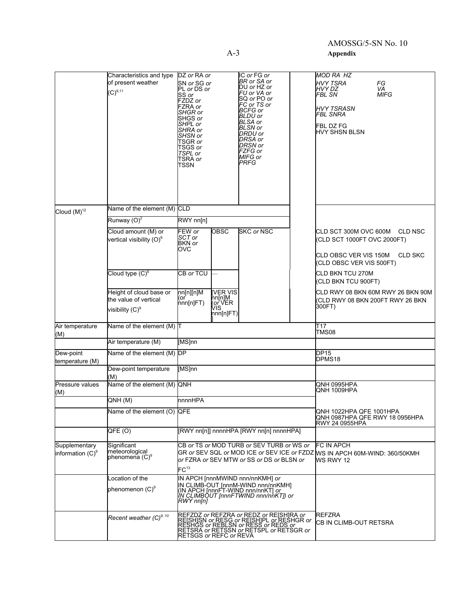# AMOSSG/5-SN No. 10

A-3 **Appendix**

|                                               | Characteristics and type<br>of present weather<br>$(C)^{9,11}$         | DZ or RA or<br>SN or SG or<br>PL or DS or<br>SS or<br>FZDZ or<br>FZRA or<br>SHGR or<br>SHGS or<br>SHPL or<br>SHRA or<br>SHSN or<br>TSGR or<br>TSGS or<br>TSPL or<br>TSRA or<br>TSSN              | IC or FG or<br>BR or SA or<br>DU or HZ or<br>FU or VA or<br>SQ or PO or<br>FC or TS or<br>BCFG or<br>BLDU or<br><b>BLSA</b> or<br><b>BLSN</b> or<br>DRDU or<br>DRSA or<br>DRSN or<br>FZFG or<br>MIFG or<br><b>PRFG</b> |                                  | MOD RA HZ<br><b>HVY TSRA</b><br>FG<br>HVY DZ<br>VA<br><b>MIFG</b><br>FBL SN<br><b>HVY TSRASN</b><br>FBL SNRA<br>FBL DZ FG<br>HVY SHSN BLSN |                |
|-----------------------------------------------|------------------------------------------------------------------------|--------------------------------------------------------------------------------------------------------------------------------------------------------------------------------------------------|------------------------------------------------------------------------------------------------------------------------------------------------------------------------------------------------------------------------|----------------------------------|--------------------------------------------------------------------------------------------------------------------------------------------|----------------|
| Cloud $(M)^{12}$                              | Name of the element (M) CLD                                            |                                                                                                                                                                                                  |                                                                                                                                                                                                                        |                                  |                                                                                                                                            |                |
|                                               | Runway $(O)^2$                                                         | $\overline{RWY}$ nn[n]                                                                                                                                                                           |                                                                                                                                                                                                                        |                                  |                                                                                                                                            |                |
|                                               | Cloud amount (M) or<br>vertical visibility (O) <sup>9</sup>            | FEW or<br><b>OBSC</b><br>SCT or<br>BKN or<br>OVC                                                                                                                                                 | <b>SKC or NSC</b>                                                                                                                                                                                                      |                                  | CLD SCT 300M OVC 600M CLD NSC<br>(CLD SCT 1000FT OVC 2000FT)<br>CLD OBSC VER VIS 150M<br>(CLD OBSC VER VIS 500FT)                          | <b>CLD SKC</b> |
|                                               | Cloud type $(C)^9$                                                     | CB or TCU                                                                                                                                                                                        |                                                                                                                                                                                                                        |                                  | CLD BKN TCU 270M<br>(CLD BKN TCU 900FT)                                                                                                    |                |
|                                               | Height of cloud base or<br>the value of vertical<br>visibility $(C)^9$ | nn[n][n]M<br>[VER VIS<br>nn[n]M<br>( <i>or</i> VER<br>VIS <sub>.</sub><br>(or<br>nn[n]FT)<br>nnn[n]FT)                                                                                           |                                                                                                                                                                                                                        |                                  | CLD RWY 08 BKN 60M RWY 26 BKN 90M<br>(CLD RWY 08 BKN 200FT RWY 26 BKN<br>300FT)                                                            |                |
| Air temperature<br>(M)                        | Name of the element (M) T                                              |                                                                                                                                                                                                  |                                                                                                                                                                                                                        |                                  | T17<br><b>TMS08</b>                                                                                                                        |                |
|                                               | Air temperature (M)                                                    | [MS]nn                                                                                                                                                                                           |                                                                                                                                                                                                                        |                                  |                                                                                                                                            |                |
| Dew-point<br>temperature (M)                  | Name of the element (M) DP                                             |                                                                                                                                                                                                  |                                                                                                                                                                                                                        |                                  | DP15<br>DPMS18                                                                                                                             |                |
|                                               | Dew-point temperature<br>(M)                                           | [MS]nn                                                                                                                                                                                           |                                                                                                                                                                                                                        |                                  |                                                                                                                                            |                |
| Pressure values<br>(M)                        | Name of the element (M) QNH                                            |                                                                                                                                                                                                  |                                                                                                                                                                                                                        | QNH 0995HPA<br>QNH 1009HPA       |                                                                                                                                            |                |
|                                               | QNH(M)                                                                 | nnnnHPA                                                                                                                                                                                          |                                                                                                                                                                                                                        |                                  |                                                                                                                                            |                |
|                                               | Name of the element (O) QFE                                            |                                                                                                                                                                                                  |                                                                                                                                                                                                                        |                                  | QNH 1022HPA QFE 1001HPA<br>QNH 0987HPA QFE RWY 18 0956HPA<br><b>RWY 24 0955HPA</b>                                                         |                |
|                                               | QFE <sub>(O)</sub>                                                     | [RWY nn[n]] nnnnHPA [RWY nn[n] nnnnHPA]                                                                                                                                                          |                                                                                                                                                                                                                        |                                  |                                                                                                                                            |                |
| Supplementary<br>information (C) <sup>9</sup> | Significant<br>meteorological<br>phenomena (C) <sup>9</sup>            | CB or TS or MOD TURB or SEV TURB or WS or<br>or FZRA or SEV MTW or SS or DS or BLSN or<br>$FC^{13}$                                                                                              |                                                                                                                                                                                                                        |                                  | <b>FC IN APCH</b><br>GR or SEV SQL or MOD ICE or SEV ICE or FZDZ MS IN APCH 60M-WIND: 360/50KMH<br>WS RWY 12                               |                |
|                                               | Location of the<br>phenomenon (C) <sup>9</sup>                         | IN APCH [nnnMWIND nnn/nnKMH] or<br>IN CLIMB-OUT [nnnM-WIND nnn/nnKMH]<br>(IN APCH [nnnFT-WIND nnn/nnKT] or<br>/W.CL/MBOUT [nnnFTWIND nnn/nnKT]) or<br>RWY nn[n]                                  |                                                                                                                                                                                                                        |                                  |                                                                                                                                            |                |
|                                               | Recent weather (C) <sup>9, 10</sup>                                    | REFZDZ or REFZRA or REDZ or REISHIRA or<br>REISHISN or RESG or REISHIPL or RESHGR or<br>RESHGS or REBLSN or RESS or REDS or<br>RETSRA or RETSSN or RETSPL or RETSGR or<br>RETSGS or REFC or REVA |                                                                                                                                                                                                                        | REFZRA<br>CB IN CLIMB-OUT RETSRA |                                                                                                                                            |                |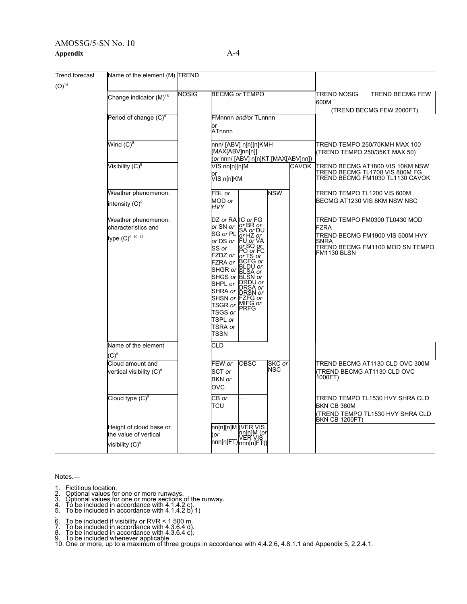## AMOSSG/5-SN No. 10 **Appendix** A-4

| <b>Trend forecast</b> | Name of the element (M) TREND                                                                      |              |                                                                                                                                                                                                                                                                                                                     |                                                              |                      |  |                                                                                                                                                  |  |
|-----------------------|----------------------------------------------------------------------------------------------------|--------------|---------------------------------------------------------------------------------------------------------------------------------------------------------------------------------------------------------------------------------------------------------------------------------------------------------------------|--------------------------------------------------------------|----------------------|--|--------------------------------------------------------------------------------------------------------------------------------------------------|--|
| $(O)^{14}$            | Change indicator (M) <sup>15</sup>                                                                 | <b>NOSIG</b> | <b>BECMG or TEMPO</b>                                                                                                                                                                                                                                                                                               |                                                              |                      |  | <b>TREND NOSIG</b><br>TREND BECMG FEW<br>600M                                                                                                    |  |
|                       | Period of change (C) <sup>9</sup>                                                                  |              | FMnnnn and/or TLnnnn                                                                                                                                                                                                                                                                                                |                                                              |                      |  | (TREND BECMG FEW 2000FT)                                                                                                                         |  |
|                       |                                                                                                    |              | or<br>ATnnnn                                                                                                                                                                                                                                                                                                        |                                                              |                      |  |                                                                                                                                                  |  |
|                       | Wind $\mathrm{(C)}^9$                                                                              |              | nnn/ [ABV] n[n][n]KMH<br>[MAX[ABV]nn[n]]<br>(or nnn/ [ABV] n[n]KT [MAX[ABV]nn])                                                                                                                                                                                                                                     |                                                              |                      |  | TREND TEMPO 250/70KMH MAX 100<br>(TREND TEMPO 250/35KT MAX 50)                                                                                   |  |
|                       | Visibility (C) <sup>9</sup>                                                                        |              |                                                                                                                                                                                                                                                                                                                     | VIS nn[n][n]M<br><b>CAVOK</b><br>or<br>VIS n[n]KM            |                      |  | TREND BECMG AT1800 VIS 10KM NSW<br> TREND BECMG TL1700 VIS 800M FG<br>TREND BECMG FM1030 TL1130 CAVOK                                            |  |
|                       | Weather phenomenon:<br>intensity $(C)^9$                                                           |              | FBL or<br>MOD or<br><b>HVY</b>                                                                                                                                                                                                                                                                                      |                                                              | <b>NSW</b>           |  | TREND TEMPO TL1200 VIS 600M<br>BECMG AT1230 VIS 8KM NSW NSC                                                                                      |  |
|                       | Weather phenomenon:<br>characteristics and<br>type (C) <sup>9, 10, 12</sup><br>Name of the element |              | DZ or RA IC or FG<br>or SN or Or BR or<br>SG or PL SA or DU<br>SG or PL or HZ or<br>or DS or<br>SS or<br>FZDZ or<br>r∠UZ or  or TS or<br>FZRA or BCFG or<br>SHGR or BLDU or<br>SHGS or BLSN or<br>SHPL or RRDY or<br>SHRA or DRSN or<br>SHSN or FZFG or<br>SHOW OF MIFG or<br>TSGS or<br>TSPL or<br>TSRA or<br>TSSN | <b>FU or VA</b><br>or SQ or<br>PO or FC<br>.SA or<br>DRSA or |                      |  | TREND TEMPO FM0300 TL0430 MOD<br><b>FZRA</b><br>TREND BECMG FM1900 VIS 500M HVY<br><b>SNRA</b><br>TREND BECMG FM1100 MOD SN TEMPO<br>FM1130 BLSN |  |
|                       | $(C)^9$<br>Cloud amount and<br>vertical visibility (C) <sup>9</sup>                                |              | CLD<br>FEW or<br>SCT or<br><b>BKN</b> or<br>OVC                                                                                                                                                                                                                                                                     | <b>OBSC</b>                                                  | SKC or<br><b>NSC</b> |  | TREND BECMG AT1130 CLD OVC 300M<br>TREND BECMG AT1130 CLD OVC<br>1000FT)                                                                         |  |
|                       | Cloud type $(C)^9$                                                                                 |              | CB or<br>TCU                                                                                                                                                                                                                                                                                                        |                                                              |                      |  | TREND TEMPO TL1530 HVY SHRA CLD<br>BKN CB 360M<br>(TREND TEMPO TL1530 HVY SHRA CLD<br><b>BKN CB 1200FT)</b>                                      |  |
|                       | Height of cloud base or<br>the value of vertical<br>visibility (C) <sup>9</sup>                    |              |                                                                                                                                                                                                                                                                                                                     |                                                              |                      |  |                                                                                                                                                  |  |

Notes.—

- 
- 
- 1. Fictitious location.<br>2. Optional values for one or more runways.<br>3. Optional values for one or more sections of the runway.<br>4. To be included in accordance with 4.1.4.2 c).<br>5. To be included in accordance with 4.1.4.2 b
- 
- 
- 
- 
- 

.<br>7. To be included if visibility or RVR < 1 500 m.<br>7. To be included in accordance with 4.3.6.4 d).<br>8. To be included in accordance with 4.3.6.4 c).<br>9. To be included whenever applicable.<br>10. One or more, up to a maximum